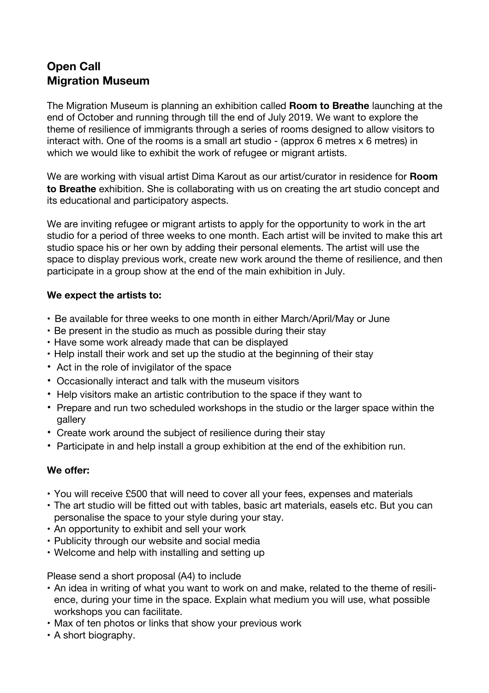# **Open Call Migration Museum**

The Migration Museum is planning an exhibition called **Room to Breathe** launching at the end of October and running through till the end of July 2019. We want to explore the theme of resilience of immigrants through a series of rooms designed to allow visitors to interact with. One of the rooms is a small art studio - (approx 6 metres x 6 metres) in which we would like to exhibit the work of refugee or migrant artists.

We are working with visual artist Dima Karout as our artist/curator in residence for **Room to Breathe** exhibition. She is collaborating with us on creating the art studio concept and its educational and participatory aspects.

We are inviting refugee or migrant artists to apply for the opportunity to work in the art studio for a period of three weeks to one month. Each artist will be invited to make this art studio space his or her own by adding their personal elements. The artist will use the space to display previous work, create new work around the theme of resilience, and then participate in a group show at the end of the main exhibition in July.

#### **We expect the artists to:**

- Be available for three weeks to one month in either March/April/May or June
- Be present in the studio as much as possible during their stay
- Have some work already made that can be displayed
- Help install their work and set up the studio at the beginning of their stay
- Act in the role of invigilator of the space
- Occasionally interact and talk with the museum visitors
- Help visitors make an artistic contribution to the space if they want to
- Prepare and run two scheduled workshops in the studio or the larger space within the gallery
- Create work around the subject of resilience during their stay
- Participate in and help install a group exhibition at the end of the exhibition run.

#### **We offer:**

- You will receive £500 that will need to cover all your fees, expenses and materials
- The art studio will be fitted out with tables, basic art materials, easels etc. But you can personalise the space to your style during your stay.
- An opportunity to exhibit and sell your work
- Publicity through our website and social media
- Welcome and help with installing and setting up

Please send a short proposal (A4) to include

- An idea in writing of what you want to work on and make, related to the theme of resilience, during your time in the space. Explain what medium you will use, what possible workshops you can facilitate.
- Max of ten photos or links that show your previous work
- A short biography.